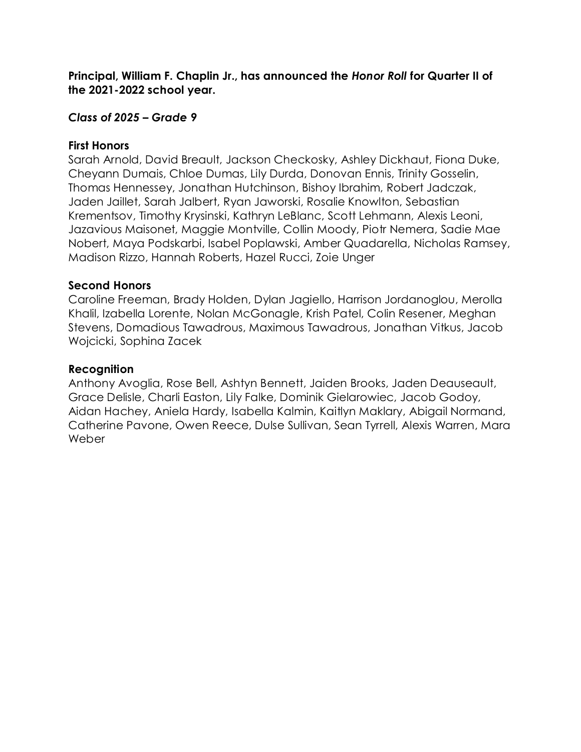## *Class of 2025 – Grade 9*

#### **First Honors**

Sarah Arnold, David Breault, Jackson Checkosky, Ashley Dickhaut, Fiona Duke, Cheyann Dumais, Chloe Dumas, Lily Durda, Donovan Ennis, Trinity Gosselin, Thomas Hennessey, Jonathan Hutchinson, Bishoy Ibrahim, Robert Jadczak, Jaden Jaillet, Sarah Jalbert, Ryan Jaworski, Rosalie Knowlton, Sebastian Krementsov, Timothy Krysinski, Kathryn LeBlanc, Scott Lehmann, Alexis Leoni, Jazavious Maisonet, Maggie Montville, Collin Moody, Piotr Nemera, Sadie Mae Nobert, Maya Podskarbi, Isabel Poplawski, Amber Quadarella, Nicholas Ramsey, Madison Rizzo, Hannah Roberts, Hazel Rucci, Zoie Unger

### **Second Honors**

Caroline Freeman, Brady Holden, Dylan Jagiello, Harrison Jordanoglou, Merolla Khalil, Izabella Lorente, Nolan McGonagle, Krish Patel, Colin Resener, Meghan Stevens, Domadious Tawadrous, Maximous Tawadrous, Jonathan Vitkus, Jacob Wojcicki, Sophina Zacek

### **Recognition**

Anthony Avoglia, Rose Bell, Ashtyn Bennett, Jaiden Brooks, Jaden Deauseault, Grace Delisle, Charli Easton, Lily Falke, Dominik Gielarowiec, Jacob Godoy, Aidan Hachey, Aniela Hardy, Isabella Kalmin, Kaitlyn Maklary, Abigail Normand, Catherine Pavone, Owen Reece, Dulse Sullivan, Sean Tyrrell, Alexis Warren, Mara Weber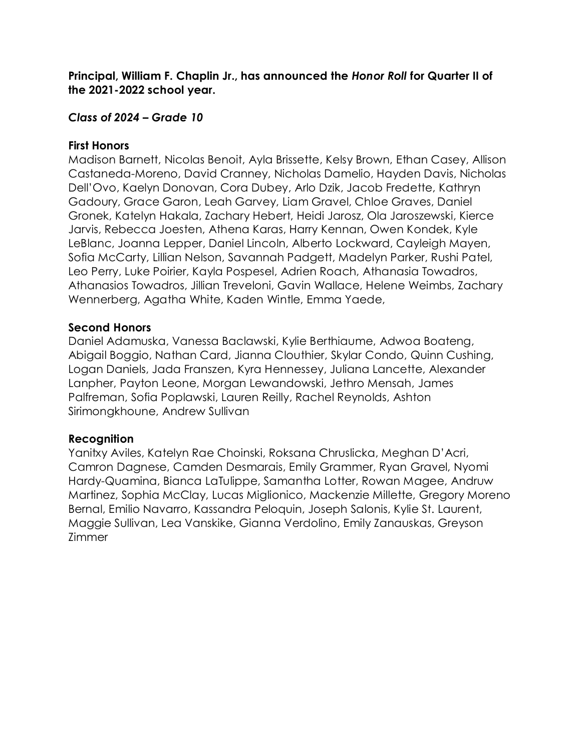## *Class of 2024 – Grade 10*

### **First Honors**

Madison Barnett, Nicolas Benoit, Ayla Brissette, Kelsy Brown, Ethan Casey, Allison Castaneda-Moreno, David Cranney, Nicholas Damelio, Hayden Davis, Nicholas Dell'Ovo, Kaelyn Donovan, Cora Dubey, Arlo Dzik, Jacob Fredette, Kathryn Gadoury, Grace Garon, Leah Garvey, Liam Gravel, Chloe Graves, Daniel Gronek, Katelyn Hakala, Zachary Hebert, Heidi Jarosz, Ola Jaroszewski, Kierce Jarvis, Rebecca Joesten, Athena Karas, Harry Kennan, Owen Kondek, Kyle LeBlanc, Joanna Lepper, Daniel Lincoln, Alberto Lockward, Cayleigh Mayen, Sofia McCarty, Lillian Nelson, Savannah Padgett, Madelyn Parker, Rushi Patel, Leo Perry, Luke Poirier, Kayla Pospesel, Adrien Roach, Athanasia Towadros, Athanasios Towadros, Jillian Treveloni, Gavin Wallace, Helene Weimbs, Zachary Wennerberg, Agatha White, Kaden Wintle, Emma Yaede,

### **Second Honors**

Daniel Adamuska, Vanessa Baclawski, Kylie Berthiaume, Adwoa Boateng, Abigail Boggio, Nathan Card, Jianna Clouthier, Skylar Condo, Quinn Cushing, Logan Daniels, Jada Franszen, Kyra Hennessey, Juliana Lancette, Alexander Lanpher, Payton Leone, Morgan Lewandowski, Jethro Mensah, James Palfreman, Sofia Poplawski, Lauren Reilly, Rachel Reynolds, Ashton Sirimongkhoune, Andrew Sullivan

## **Recognition**

Yanitxy Aviles, Katelyn Rae Choinski, Roksana Chruslicka, Meghan D'Acri, Camron Dagnese, Camden Desmarais, Emily Grammer, Ryan Gravel, Nyomi Hardy-Quamina, Bianca LaTulippe, Samantha Lotter, Rowan Magee, Andruw Martinez, Sophia McClay, Lucas Miglionico, Mackenzie Millette, Gregory Moreno Bernal, Emilio Navarro, Kassandra Peloquin, Joseph Salonis, Kylie St. Laurent, Maggie Sullivan, Lea Vanskike, Gianna Verdolino, Emily Zanauskas, Greyson Zimmer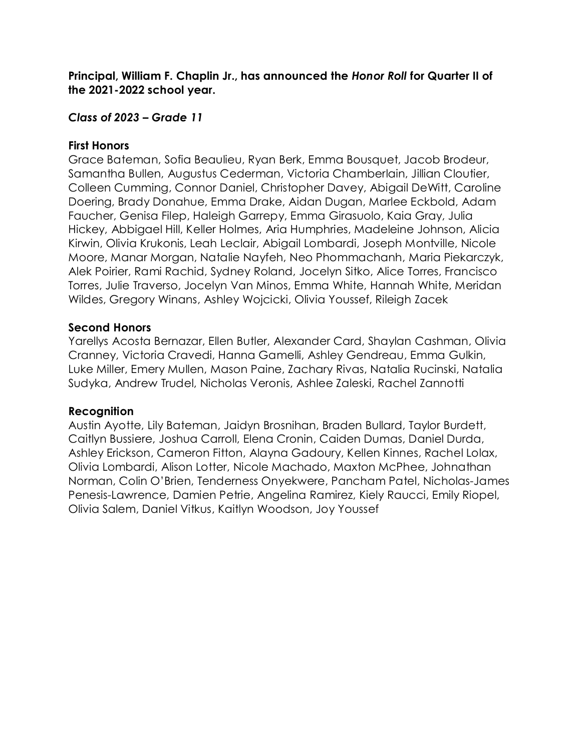## *Class of 2023 – Grade 11*

#### **First Honors**

Grace Bateman, Sofia Beaulieu, Ryan Berk, Emma Bousquet, Jacob Brodeur, Samantha Bullen, Augustus Cederman, Victoria Chamberlain, Jillian Cloutier, Colleen Cumming, Connor Daniel, Christopher Davey, Abigail DeWitt, Caroline Doering, Brady Donahue, Emma Drake, Aidan Dugan, Marlee Eckbold, Adam Faucher, Genisa Filep, Haleigh Garrepy, Emma Girasuolo, Kaia Gray, Julia Hickey, Abbigael Hill, Keller Holmes, Aria Humphries, Madeleine Johnson, Alicia Kirwin, Olivia Krukonis, Leah Leclair, Abigail Lombardi, Joseph Montville, Nicole Moore, Manar Morgan, Natalie Nayfeh, Neo Phommachanh, Maria Piekarczyk, Alek Poirier, Rami Rachid, Sydney Roland, Jocelyn Sitko, Alice Torres, Francisco Torres, Julie Traverso, Jocelyn Van Minos, Emma White, Hannah White, Meridan Wildes, Gregory Winans, Ashley Wojcicki, Olivia Youssef, Rileigh Zacek

### **Second Honors**

Yarellys Acosta Bernazar, Ellen Butler, Alexander Card, Shaylan Cashman, Olivia Cranney, Victoria Cravedi, Hanna Gamelli, Ashley Gendreau, Emma Gulkin, Luke Miller, Emery Mullen, Mason Paine, Zachary Rivas, Natalia Rucinski, Natalia Sudyka, Andrew Trudel, Nicholas Veronis, Ashlee Zaleski, Rachel Zannotti

#### **Recognition**

Austin Ayotte, Lily Bateman, Jaidyn Brosnihan, Braden Bullard, Taylor Burdett, Caitlyn Bussiere, Joshua Carroll, Elena Cronin, Caiden Dumas, Daniel Durda, Ashley Erickson, Cameron Fitton, Alayna Gadoury, Kellen Kinnes, Rachel Lolax, Olivia Lombardi, Alison Lotter, Nicole Machado, Maxton McPhee, Johnathan Norman, Colin O'Brien, Tenderness Onyekwere, Pancham Patel, Nicholas-James Penesis-Lawrence, Damien Petrie, Angelina Ramirez, Kiely Raucci, Emily Riopel, Olivia Salem, Daniel Vitkus, Kaitlyn Woodson, Joy Youssef